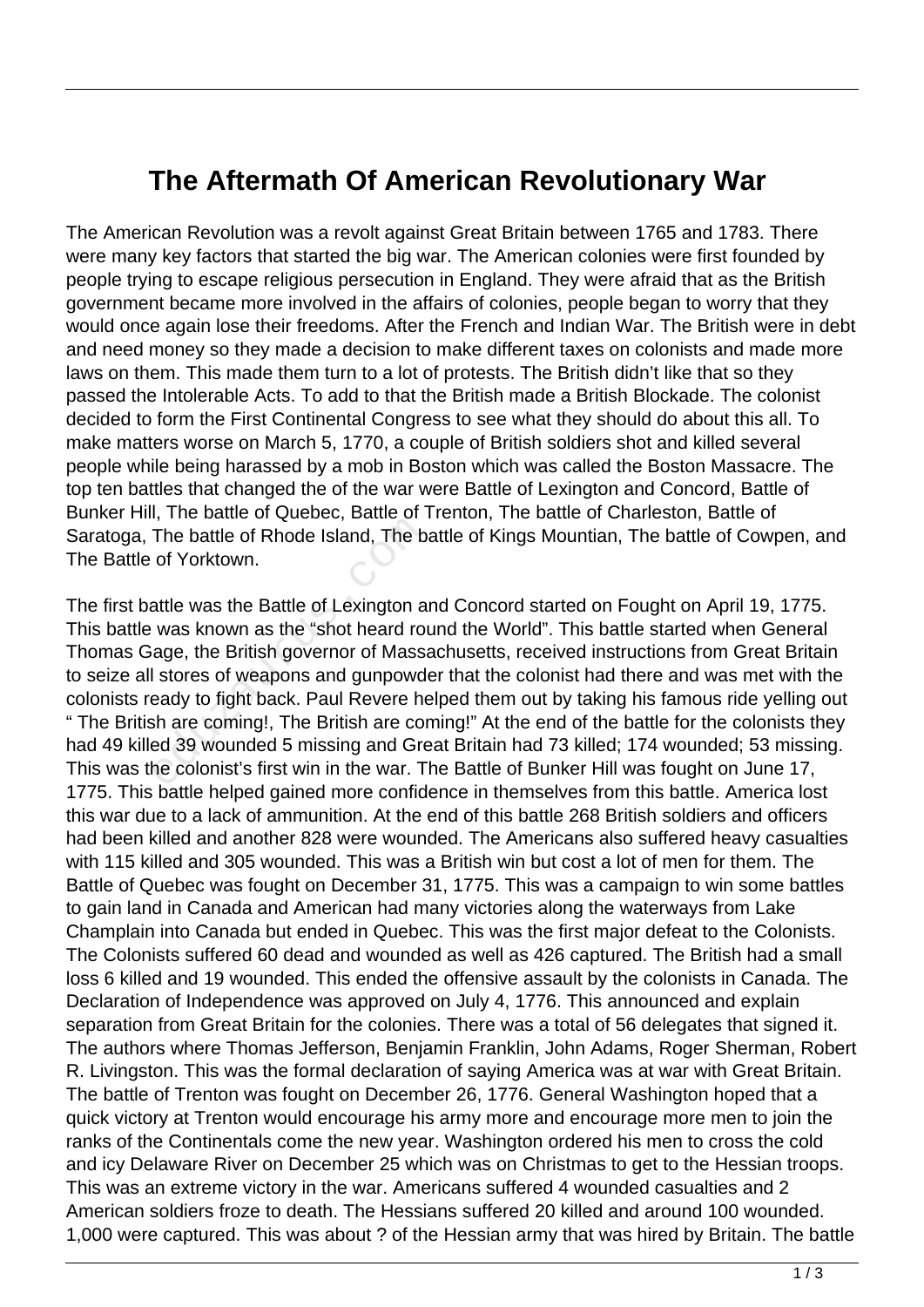## **The Aftermath Of American Revolutionary War**

The American Revolution was a revolt against Great Britain between 1765 and 1783. There were many key factors that started the big war. The American colonies were first founded by people trying to escape religious persecution in England. They were afraid that as the British government became more involved in the affairs of colonies, people began to worry that they would once again lose their freedoms. After the French and Indian War. The British were in debt and need money so they made a decision to make different taxes on colonists and made more laws on them. This made them turn to a lot of protests. The British didn't like that so they passed the Intolerable Acts. To add to that the British made a British Blockade. The colonist decided to form the First Continental Congress to see what they should do about this all. To make matters worse on March 5, 1770, a couple of British soldiers shot and killed several people while being harassed by a mob in Boston which was called the Boston Massacre. The top ten battles that changed the of the war were Battle of Lexington and Concord, Battle of Bunker Hill, The battle of Quebec, Battle of Trenton, The battle of Charleston, Battle of Saratoga, The battle of Rhode Island, The battle of Kings Mountian, The battle of Cowpen, and The Battle of Yorktown.

The first battle was the Battle of Lexington and Concord started on Fought on April 19, 1775. This battle was known as the "shot heard round the World". This battle started when General Thomas Gage, the British governor of Massachusetts, received instructions from Great Britain to seize all stores of weapons and gunpowder that the colonist had there and was met with the colonists ready to fight back. Paul Revere helped them out by taking his famous ride yelling out " The British are coming!, The British are coming!" At the end of the battle for the colonists they had 49 killed 39 wounded 5 missing and Great Britain had 73 killed; 174 wounded; 53 missing. This was the colonist's first win in the war. The Battle of Bunker Hill was fought on June 17, 1775. This battle helped gained more confidence in themselves from this battle. America lost this war due to a lack of ammunition. At the end of this battle 268 British soldiers and officers had been killed and another 828 were wounded. The Americans also suffered heavy casualties with 115 killed and 305 wounded. This was a British win but cost a lot of men for them. The Battle of Quebec was fought on December 31, 1775. This was a campaign to win some battles to gain land in Canada and American had many victories along the waterways from Lake Champlain into Canada but ended in Quebec. This was the first major defeat to the Colonists. The Colonists suffered 60 dead and wounded as well as 426 captured. The British had a small loss 6 killed and 19 wounded. This ended the offensive assault by the colonists in Canada. The Declaration of Independence was approved on July 4, 1776. This announced and explain separation from Great Britain for the colonies. There was a total of 56 delegates that signed it. The authors where Thomas Jefferson, Benjamin Franklin, John Adams, Roger Sherman, Robert R. Livingston. This was the formal declaration of saying America was at war with Great Britain. The battle of Trenton was fought on December 26, 1776. General Washington hoped that a quick victory at Trenton would encourage his army more and encourage more men to join the ranks of the Continentals come the new year. Washington ordered his men to cross the cold and icy Delaware River on December 25 which was on Christmas to get to the Hessian troops. This was an extreme victory in the war. Americans suffered 4 wounded casualties and 2 American soldiers froze to death. The Hessians suffered 20 killed and around 100 wounded. 1,000 were captured. This was about ? of the Hessian army that was hired by Britain. The battle The battle of Rhode Island, The b<br>of Yorktown.<br>attle was the Battle of Lexington a<br>was known as the "shot heard rou<br>age, the British governor of Mass<br>I stores of weapons and gunpowd<br>eady to fight back. Paul Revere he<br>sh ar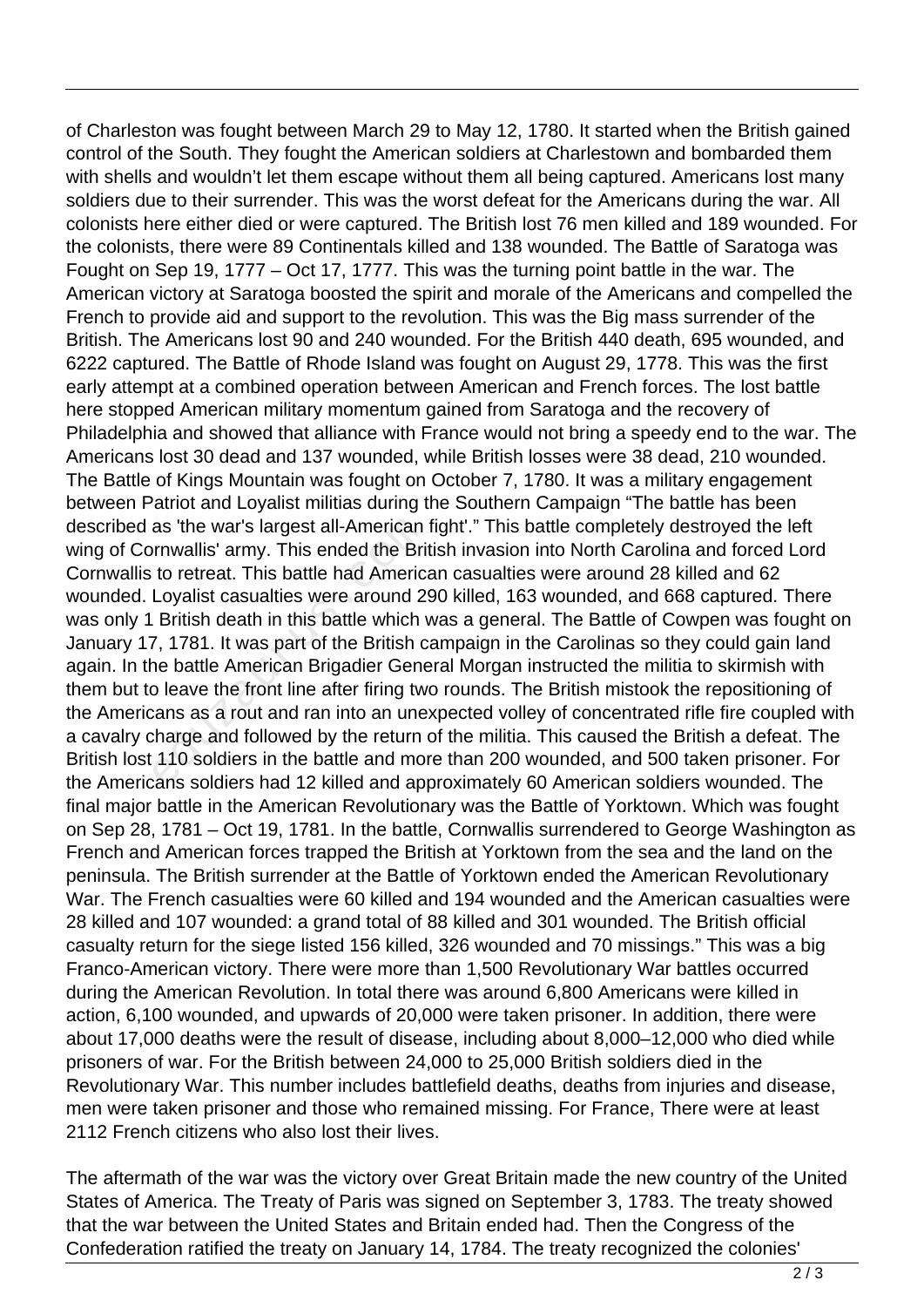of Charleston was fought between March 29 to May 12, 1780. It started when the British gained control of the South. They fought the American soldiers at Charlestown and bombarded them with shells and wouldn't let them escape without them all being captured. Americans lost many soldiers due to their surrender. This was the worst defeat for the Americans during the war. All colonists here either died or were captured. The British lost 76 men killed and 189 wounded. For the colonists, there were 89 Continentals killed and 138 wounded. The Battle of Saratoga was Fought on Sep 19, 1777 – Oct 17, 1777. This was the turning point battle in the war. The American victory at Saratoga boosted the spirit and morale of the Americans and compelled the French to provide aid and support to the revolution. This was the Big mass surrender of the British. The Americans lost 90 and 240 wounded. For the British 440 death, 695 wounded, and 6222 captured. The Battle of Rhode Island was fought on August 29, 1778. This was the first early attempt at a combined operation between American and French forces. The lost battle here stopped American military momentum gained from Saratoga and the recovery of Philadelphia and showed that alliance with France would not bring a speedy end to the war. The Americans lost 30 dead and 137 wounded, while British losses were 38 dead, 210 wounded. The Battle of Kings Mountain was fought on October 7, 1780. It was a military engagement between Patriot and Loyalist militias during the Southern Campaign "The battle has been described as 'the war's largest all-American fight'." This battle completely destroyed the left wing of Cornwallis' army. This ended the British invasion into North Carolina and forced Lord Cornwallis to retreat. This battle had American casualties were around 28 killed and 62 wounded. Loyalist casualties were around 290 killed, 163 wounded, and 668 captured. There was only 1 British death in this battle which was a general. The Battle of Cowpen was fought on January 17, 1781. It was part of the British campaign in the Carolinas so they could gain land again. In the battle American Brigadier General Morgan instructed the militia to skirmish with them but to leave the front line after firing two rounds. The British mistook the repositioning of the Americans as a rout and ran into an unexpected volley of concentrated rifle fire coupled with a cavalry charge and followed by the return of the militia. This caused the British a defeat. The British lost 110 soldiers in the battle and more than 200 wounded, and 500 taken prisoner. For the Americans soldiers had 12 killed and approximately 60 American soldiers wounded. The final major battle in the American Revolutionary was the Battle of Yorktown. Which was fought on Sep 28, 1781 – Oct 19, 1781. In the battle, Cornwallis surrendered to George Washington as French and American forces trapped the British at Yorktown from the sea and the land on the peninsula. The British surrender at the Battle of Yorktown ended the American Revolutionary War. The French casualties were 60 killed and 194 wounded and the American casualties were 28 killed and 107 wounded: a grand total of 88 killed and 301 wounded. The British official casualty return for the siege listed 156 killed, 326 wounded and 70 missings." This was a big Franco-American victory. There were more than 1,500 Revolutionary War battles occurred during the American Revolution. In total there was around 6,800 Americans were killed in action, 6,100 wounded, and upwards of 20,000 were taken prisoner. In addition, there were about 17,000 deaths were the result of disease, including about 8,000–12,000 who died while prisoners of war. For the British between 24,000 to 25,000 British soldiers died in the Revolutionary War. This number includes battlefield deaths, deaths from injuries and disease, men were taken prisoner and those who remained missing. For France, There were at least 2112 French citizens who also lost their lives. as 'the war's largest all-American<br>prnwallis' army. This ended the Bri<br>to retreat. This battle had Americ:<br>Loyalist casualties were around 2!<br>British death in this battle which \<br>7, 1781. It was part of the British c<br>ne ba

The aftermath of the war was the victory over Great Britain made the new country of the United States of America. The Treaty of Paris was signed on September 3, 1783. The treaty showed that the war between the United States and Britain ended had. Then the Congress of the Confederation ratified the treaty on January 14, 1784. The treaty recognized the colonies'